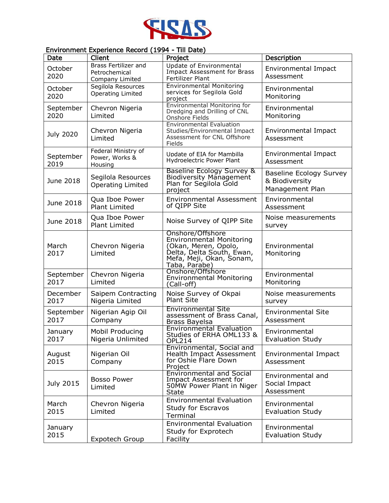

## Environment Experience Record (1994 - Till Date)

| Date              | Client                                                   | Project                                                                                                                                               | Description                                                         |
|-------------------|----------------------------------------------------------|-------------------------------------------------------------------------------------------------------------------------------------------------------|---------------------------------------------------------------------|
| October<br>2020   | Brass Fertilizer and<br>Petrochemical<br>Company Limited | Update of Environmental<br><b>Impact Assessment for Brass</b><br>Fertilizer Plant                                                                     | <b>Environmental Impact</b><br>Assessment                           |
| October<br>2020   | Segilola Resources<br>Operating Limited                  | <b>Environmental Monitoring</b><br>services for Segilola Gold<br>project                                                                              | Environmental<br>Monitoring                                         |
| September<br>2020 | Chevron Nigeria<br>Limited                               | Environmental Monitoring for<br>Dredging and Drilling of CNL<br>Onshore Fields                                                                        | Environmental<br>Monitoring                                         |
| July 2020         | Chevron Nigeria<br>Limited                               | <b>Environmental Evaluation</b><br>Studies/Environmental Impact<br>Assessment for CNL Offshore<br>Fields                                              | <b>Environmental Impact</b><br>Assessment                           |
| September<br>2019 | Federal Ministry of<br>Power, Works &<br>Housing         | Update of EIA for Mambilla<br>Hydroelectric Power Plant                                                                                               | Environmental Impact<br>Assessment                                  |
| June 2018         | Segilola Resources<br><b>Operating Limited</b>           | Baseline Ecology Survey &<br><b>Biodiversity Management</b><br>Plan for Segilola Gold<br>project                                                      | <b>Baseline Ecology Survey</b><br>& Biodiversity<br>Management Plan |
| June 2018         | Qua Iboe Power<br><b>Plant Limited</b>                   | <b>Environmental Assessment</b><br>of QIPP Site                                                                                                       | Environmental<br>Assessment                                         |
| June 2018         | Qua Iboe Power<br><b>Plant Limited</b>                   | Noise Survey of QIPP Site                                                                                                                             | Noise measurements<br>survey                                        |
| March<br>2017     | Chevron Nigeria<br>Limited                               | Onshore/Offshore<br><b>Environmental Monitoring</b><br>(Okan, Meren, Opolo,<br>Delta, Delta South, Ewan,<br>Mefa, Meji, Okan, Sonam,<br>Taba, Parabe) | Environmental<br>Monitoring                                         |
| September<br>2017 | Chevron Nigeria<br>Limited                               | Onshore/Offshore<br><b>Environmental Monitoring</b><br>(Call-off)                                                                                     | Environmental<br>Monitoring                                         |
| December<br>2017  | Saipem Contracting<br>Nigeria Limited                    | Noise Survey of Okpai<br><b>Plant Site</b>                                                                                                            | Noise measurements<br>survey                                        |
| September<br>2017 | Nigerian Agip Oil<br>Company                             | <b>Environmental Site</b><br>assessment of Brass Canal,<br><b>Brass Bayelsa</b>                                                                       | <b>Environmental Site</b><br>Assessment                             |
| January<br>2017   | Mobil Producing<br>Nigeria Unlimited                     | <b>Environmental Evaluation</b><br>Studies of ERHA OML133 &<br>OPL214                                                                                 | Environmental<br><b>Evaluation Study</b>                            |
| August<br>2015    | Nigerian Oil<br>Company                                  | Environmental, Social and<br>Health Impact Assessment<br>for Oshie Flare Down<br>Project                                                              | Environmental Impact<br>Assessment                                  |
| July 2015         | <b>Bosso Power</b><br>Limited                            | <b>Environmental and Social</b><br><b>Impact Assessment for</b><br>50MW Power Plant in Niger<br><b>State</b>                                          | Environmental and<br>Social Impact<br>Assessment                    |
| March<br>2015     | Chevron Nigeria<br>Limited                               | <b>Environmental Evaluation</b><br>Study for Escravos<br>Terminal                                                                                     | Environmental<br><b>Evaluation Study</b>                            |
| January<br>2015   | Expotech Group                                           | <b>Environmental Evaluation</b><br>Study for Exprotech<br>Facility                                                                                    | Environmental<br><b>Evaluation Study</b>                            |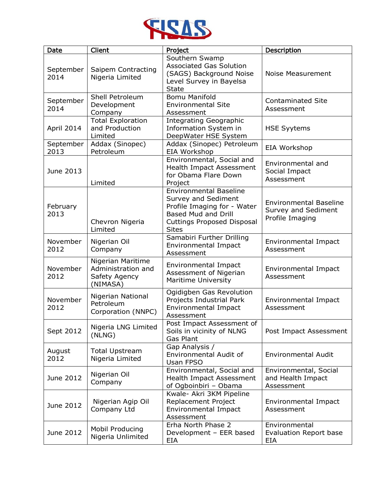

| Date              | Client                                                               | Project                                                                                                                                                                | Description                                                             |
|-------------------|----------------------------------------------------------------------|------------------------------------------------------------------------------------------------------------------------------------------------------------------------|-------------------------------------------------------------------------|
| September<br>2014 | Saipem Contracting<br>Nigeria Limited                                | Southern Swamp<br><b>Associated Gas Solution</b><br>(SAGS) Background Noise<br>Level Survey in Bayelsa<br><b>State</b>                                                 | Noise Measurement                                                       |
| September<br>2014 | Shell Petroleum<br>Development<br>Company                            | <b>Bomu Manifold</b><br><b>Environmental Site</b><br>Assessment                                                                                                        | <b>Contaminated Site</b><br>Assessment                                  |
| April 2014        | <b>Total Exploration</b><br>and Production<br>Limited                | <b>Integrating Geographic</b><br>Information System in<br>DeepWater HSE System                                                                                         | <b>HSE Syytems</b>                                                      |
| September<br>2013 | Addax (Sinopec)<br>Petroleum                                         | Addax (Sinopec) Petroleum<br>EIA Workshop                                                                                                                              | EIA Workshop                                                            |
| June 2013         | Limited                                                              | Environmental, Social and<br><b>Health Impact Assessment</b><br>for Obama Flare Down<br>Project                                                                        | Environmental and<br>Social Impact<br>Assessment                        |
| February<br>2013  | Chevron Nigeria<br>Limited                                           | <b>Environmental Baseline</b><br>Survey and Sediment<br>Profile Imaging for - Water<br><b>Based Mud and Drill</b><br><b>Cuttings Proposed Disposal</b><br><b>Sites</b> | <b>Environmental Baseline</b><br>Survey and Sediment<br>Profile Imaging |
| November<br>2012  | Nigerian Oil<br>Company                                              | Samabiri Further Drilling<br>Environmental Impact<br>Assessment                                                                                                        | Environmental Impact<br>Assessment                                      |
| November<br>2012  | Nigerian Maritime<br>Administration and<br>Safety Agency<br>(NIMASA) | Environmental Impact<br>Assessment of Nigerian<br>Maritime University                                                                                                  | Environmental Impact<br>Assessment                                      |
| November<br>2012  | Nigerian National<br>Petroleum<br>Corporation (NNPC)                 | Ogidigben Gas Revolution<br>Projects Industrial Park<br>Environmental Impact<br>Assessment                                                                             | Environmental Impact<br>Assessment                                      |
| Sept 2012         | Nigeria LNG Limited<br>(NLNG)                                        | Post Impact Assessment of<br>Soils in vicinity of NLNG<br><b>Gas Plant</b>                                                                                             | Post Impact Assessment                                                  |
| August<br>2012    | <b>Total Upstream</b><br>Nigeria Limited                             | Gap Analysis /<br>Environmental Audit of<br>Usan FPSO                                                                                                                  | <b>Environmental Audit</b>                                              |
| June 2012         | Nigerian Oil<br>Company                                              | Environmental, Social and<br>Health Impact Assessment<br>of Ogboinbiri - Obama                                                                                         | Environmental, Social<br>and Health Impact<br>Assessment                |
| June 2012         | Nigerian Agip Oil<br>Company Ltd                                     | Kwale- Akri 3KM Pipeline<br>Replacement Project<br>Environmental Impact<br>Assessment                                                                                  | Environmental Impact<br>Assessment                                      |
| June 2012         | Mobil Producing<br>Nigeria Unlimited                                 | Erha North Phase 2<br>Development - EER based<br>EIA                                                                                                                   | Environmental<br>Evaluation Report base<br>EIA                          |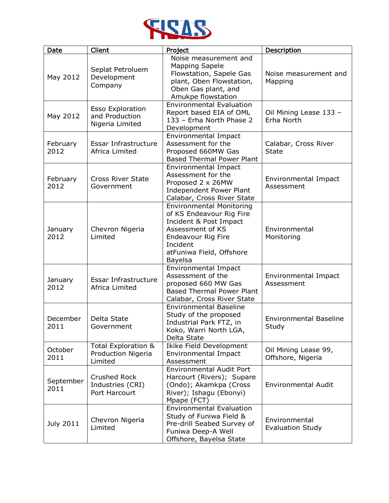

| Date              | Client                                                       | Project                                                                                                                                                                            | Description                               |
|-------------------|--------------------------------------------------------------|------------------------------------------------------------------------------------------------------------------------------------------------------------------------------------|-------------------------------------------|
| May 2012          | Seplat Petroluem<br>Development<br>Company                   | Noise measurement and<br><b>Mapping Sapele</b><br>Flowstation, Sapele Gas<br>plant, Oben Flowstation,<br>Oben Gas plant, and<br>Amukpe flowstation                                 | Noise measurement and<br>Mapping          |
| May 2012          | <b>Esso Exploration</b><br>and Production<br>Nigeria Limited | <b>Environmental Evaluation</b><br>Report based EIA of OML<br>133 - Erha North Phase 2<br>Development                                                                              | Oil Mining Lease 133 -<br>Erha North      |
| February<br>2012  | Essar Infrastructure<br>Africa Limited                       | Environmental Impact<br>Assessment for the<br>Proposed 660MW Gas<br><b>Based Thermal Power Plant</b>                                                                               | Calabar, Cross River<br><b>State</b>      |
| February<br>2012  | <b>Cross River State</b><br>Government                       | Environmental Impact<br>Assessment for the<br>Proposed 2 x 26MW<br><b>Independent Power Plant</b><br>Calabar, Cross River State                                                    | Environmental Impact<br>Assessment        |
| January<br>2012   | Chevron Nigeria<br>Limited                                   | <b>Environmental Monitoring</b><br>of KS Endeavour Rig Fire<br>Incident & Post Impact<br>Assessment of KS<br>Endeavour Rig Fire<br>Incident<br>atFuniwa Field, Offshore<br>Bayelsa | Environmental<br>Monitoring               |
| January<br>2012   | Essar Infrastructure<br>Africa Limited                       | Environmental Impact<br>Assessment of the<br>proposed 660 MW Gas<br><b>Based Thermal Power Plant</b><br>Calabar, Cross River State                                                 | Environmental Impact<br>Assessment        |
| December<br>2011  | Delta State<br>Government                                    | <b>Environmental Baseline</b><br>Study of the proposed<br>Industrial Park FTZ, in<br>Koko, Warri North LGA,<br>Delta State                                                         | <b>Environmental Baseline</b><br>Study    |
| October<br>2011   | Total Exploration &<br>Production Nigeria<br>Limited         | Ikike Field Development<br>Environmental Impact<br>Assessment                                                                                                                      | Oil Mining Lease 99,<br>Offshore, Nigeria |
| September<br>2011 | <b>Crushed Rock</b><br>Industries (CRI)<br>Port Harcourt     | <b>Environmental Audit Port</b><br>Harcourt (Rivers); Supare<br>(Ondo); Akamkpa (Cross<br>River); Ishagu (Ebonyi)<br>Mpape (FCT)                                                   | <b>Environmental Audit</b>                |
| <b>July 2011</b>  | Chevron Nigeria<br>Limited                                   | <b>Environmental Evaluation</b><br>Study of Funiwa Field &<br>Pre-drill Seabed Survey of<br>Funiwa Deep-A Well<br>Offshore, Bayelsa State                                          | Environmental<br><b>Evaluation Study</b>  |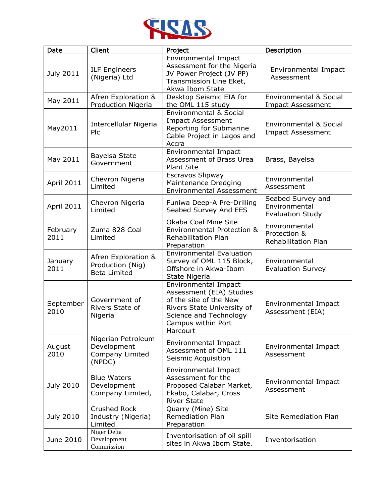

| Date              | Client                                                         | Project                                                                                                                                                                     | Description                                                   |
|-------------------|----------------------------------------------------------------|-----------------------------------------------------------------------------------------------------------------------------------------------------------------------------|---------------------------------------------------------------|
| <b>July 2011</b>  | <b>ILF Engineers</b><br>(Nigeria) Ltd                          | Environmental Impact<br>Assessment for the Nigeria<br>JV Power Project (JV PP)<br>Transmission Line Eket,<br>Akwa Ibom State                                                | Environmental Impact<br>Assessment                            |
| May 2011          | Afren Exploration &<br>Production Nigeria                      | Desktop Seismic EIA for<br>the OML 115 study                                                                                                                                | <b>Environmental &amp; Social</b><br><b>Impact Assessment</b> |
| May2011           | Intercellular Nigeria<br>Plc                                   | <b>Environmental &amp; Social</b><br><b>Impact Assessment</b><br>Reporting for Submarine<br>Cable Project in Lagos and<br>Accra                                             | Environmental & Social<br><b>Impact Assessment</b>            |
| May 2011          | Bayelsa State<br>Government                                    | <b>Environmental Impact</b><br><b>Assessment of Brass Urea</b><br><b>Plant Site</b>                                                                                         | Brass, Bayelsa                                                |
| April 2011        | Chevron Nigeria<br>Limited                                     | Escravos Slipway<br>Maintenance Dredging<br><b>Environmental Assessment</b>                                                                                                 | Environmental<br>Assessment                                   |
| April 2011        | Chevron Nigeria<br>Limited                                     | Funiwa Deep-A Pre-Drilling<br>Seabed Survey And EES                                                                                                                         | Seabed Survey and<br>Environmental<br><b>Evaluation Study</b> |
| February<br>2011  | Zuma 828 Coal<br>Limited                                       | Okaba Coal Mine Site<br><b>Environmental Protection &amp;</b><br><b>Rehabilitation Plan</b><br>Preparation                                                                  | Environmental<br>Protection &<br><b>Rehabilitation Plan</b>   |
| January<br>2011   | Afren Exploration &<br>Production (Nig)<br><b>Beta Limited</b> | <b>Environmental Evaluation</b><br>Survey of OML 115 Block,<br>Offshore in Akwa-Ibom<br>State Nigeria                                                                       | Environmental<br><b>Evaluation Survey</b>                     |
| September<br>2010 | Government of<br>Rivers State of<br>Nigeria                    | <b>Environmental Impact</b><br>Assessment (EIA) Studies<br>of the site of the New<br>Rivers State University of<br>Science and Technology<br>Campus within Port<br>Harcourt | Environmental Impact<br>Assessment (EIA)                      |
| August<br>2010    | Nigerian Petroleum<br>Development<br>Company Limited<br>(NPDC) | Environmental Impact<br>Assessment of OML 111<br>Seismic Acquisition                                                                                                        | Environmental Impact<br>Assessment                            |
| <b>July 2010</b>  | <b>Blue Waters</b><br>Development<br>Company Limited,          | <b>Environmental Impact</b><br>Assessment for the<br>Proposed Calabar Market,<br>Ekabo, Calabar, Cross<br><b>River State</b>                                                | Environmental Impact<br>Assessment                            |
| <b>July 2010</b>  | <b>Crushed Rock</b><br>Industry (Nigeria)<br>Limited           | Quarry (Mine) Site<br><b>Remediation Plan</b><br>Preparation                                                                                                                | <b>Site Remediation Plan</b>                                  |
| June 2010         | Niger Delta<br>Development<br>Commission                       | Inventorisation of oil spill<br>sites in Akwa Ibom State.                                                                                                                   | Inventorisation                                               |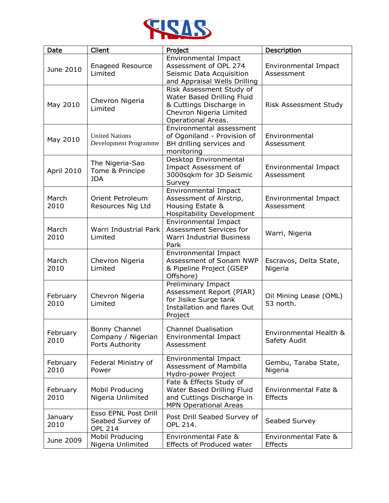

| Date             | Client                                                            | Project                                                                                                                            | Description                            |
|------------------|-------------------------------------------------------------------|------------------------------------------------------------------------------------------------------------------------------------|----------------------------------------|
| June 2010        | <b>Enageed Resource</b><br>Limited                                | <b>Environmental Impact</b><br>Assessment of OPL 274<br>Seismic Data Acquisition<br>and Appraisal Wells Drilling                   | Environmental Impact<br>Assessment     |
| May 2010         | Chevron Nigeria<br>Limited                                        | Risk Assessment Study of<br>Water Based Drilling Fluid<br>& Cuttings Discharge in<br>Chevron Nigeria Limited<br>Operational Areas. | Risk Assessment Study                  |
| May 2010         | <b>United Nations</b><br>Development Programme                    | Environmental assessment<br>of Ogoniland - Provision of<br>BH drilling services and<br>monitoring                                  | Environmental<br>Assessment            |
| April 2010       | The Nigeria-Sao<br>Tome & Principe<br><b>JDA</b>                  | Desktop Environmental<br>Impact Assessment of<br>3000sqkm for 3D Seismic<br>Survey                                                 | Environmental Impact<br>Assessment     |
| March<br>2010    | Orient Petroleum<br>Resources Nig Ltd                             | <b>Environmental Impact</b><br>Assessment of Airstrip,<br>Housing Estate &<br><b>Hospitability Development</b>                     | Environmental Impact<br>Assessment     |
| March<br>2010    | Warri Industrial Park<br>Limited                                  | Environmental Impact<br>Assessment Services for<br>Warri Industrial Business<br>Park                                               | Warri, Nigeria                         |
| March<br>2010    | Chevron Nigeria<br>Limited                                        | <b>Environmental Impact</b><br>Assessment of Sonam NWP<br>& Pipeline Project (GSEP<br>Offshore)                                    | Escravos, Delta State,<br>Nigeria      |
| February<br>2010 | Chevron Nigeria<br>Limited                                        | Preliminary Impact<br>Assessment Report (PIAR)<br>for Jisike Surge tank<br>Installation and flares Out<br>Project                  | Oil Mining Lease (OML)<br>53 north.    |
| February<br>2010 | Bonny Channel<br>Company / Nigerian<br>Ports Authority            | <b>Channel Dualisation</b><br><b>Environmental Impact</b><br>Assessment                                                            | Environmental Health &<br>Safety Audit |
| February<br>2010 | Federal Ministry of<br>Power                                      | Environmental Impact<br><b>Assessment of Mambilla</b><br>Hydro-power Project                                                       | Gembu, Taraba State,<br>Nigeria        |
| February<br>2010 | Mobil Producing<br>Nigeria Unlimited                              | Fate & Effects Study of<br>Water Based Drilling Fluid<br>and Cuttings Discharge in<br><b>MPN Operational Areas</b>                 | Environmental Fate &<br><b>Effects</b> |
| January<br>2010  | <b>Esso EPNL Post Drill</b><br>Seabed Survey of<br><b>OPL 214</b> | Post Drill Seabed Survey of<br>OPL 214.                                                                                            | Seabed Survey                          |
| June 2009        | Mobil Producing<br>Nigeria Unlimited                              | Environmental Fate &<br>Effects of Produced water                                                                                  | Environmental Fate &<br>Effects        |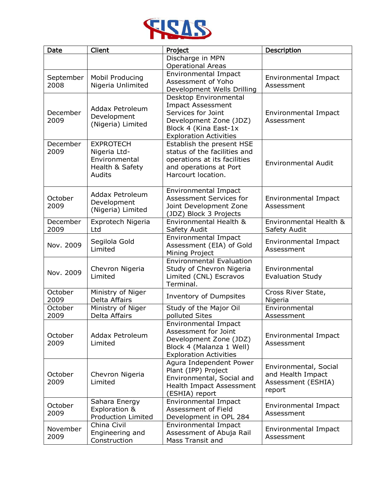

| Date             | Client                                                                         | Project                                                                                                                                                     | Description                                                                |
|------------------|--------------------------------------------------------------------------------|-------------------------------------------------------------------------------------------------------------------------------------------------------------|----------------------------------------------------------------------------|
|                  |                                                                                | Discharge in MPN                                                                                                                                            |                                                                            |
| September        | Mobil Producing                                                                | <b>Operational Areas</b><br><b>Environmental Impact</b><br>Assessment of Yoho                                                                               | Environmental Impact                                                       |
| 2008             | Nigeria Unlimited                                                              | Development Wells Drilling                                                                                                                                  | Assessment                                                                 |
| December<br>2009 | <b>Addax Petroleum</b><br>Development<br>(Nigeria) Limited                     | Desktop Environmental<br><b>Impact Assessment</b><br>Services for Joint<br>Development Zone (JDZ)<br>Block 4 (Kina East-1x<br><b>Exploration Activities</b> | Environmental Impact<br>Assessment                                         |
| December<br>2009 | <b>EXPROTECH</b><br>Nigeria Ltd-<br>Environmental<br>Health & Safety<br>Audits | Establish the present HSE<br>status of the facilities and<br>operations at its facilities<br>and operations at Port<br>Harcourt location.                   | <b>Environmental Audit</b>                                                 |
| October<br>2009  | <b>Addax Petroleum</b><br>Development<br>(Nigeria) Limited                     | Environmental Impact<br><b>Assessment Services for</b><br>Joint Development Zone<br>(JDZ) Block 3 Projects                                                  | <b>Environmental Impact</b><br>Assessment                                  |
| December<br>2009 | Exprotech Nigeria<br>Ltd                                                       | Environmental Health &<br>Safety Audit                                                                                                                      | Environmental Health &<br>Safety Audit                                     |
| Nov. 2009        | Segilola Gold<br>Limited                                                       | Environmental Impact<br>Assessment (EIA) of Gold<br>Mining Project                                                                                          | Environmental Impact<br>Assessment                                         |
| Nov. 2009        | Chevron Nigeria<br>Limited                                                     | <b>Environmental Evaluation</b><br>Study of Chevron Nigeria<br>Limited (CNL) Escravos<br>Terminal.                                                          | Environmental<br><b>Evaluation Study</b>                                   |
| October<br>2009  | Ministry of Niger<br>Delta Affairs                                             | Inventory of Dumpsites                                                                                                                                      | Cross River State,<br>Nigeria                                              |
| October<br>2009  | Ministry of Niger<br><b>Delta Affairs</b>                                      | Study of the Major Oil<br>polluted Sites                                                                                                                    | Environmental<br>Assessment                                                |
| October<br>2009  | <b>Addax Petroleum</b><br>Limited                                              | Environmental Impact<br>Assessment for Joint<br>Development Zone (JDZ)<br>Block 4 (Malanza 1 Well)<br><b>Exploration Activities</b>                         | Environmental Impact<br>Assessment                                         |
| October<br>2009  | Chevron Nigeria<br>Limited                                                     | Agura Independent Power<br>Plant (IPP) Project<br>Environmental, Social and<br>Health Impact Assessment<br>(ESHIA) report                                   | Environmental, Social<br>and Health Impact<br>Assessment (ESHIA)<br>report |
| October<br>2009  | Sahara Energy<br>Exploration &<br><b>Production Limited</b>                    | Environmental Impact<br>Assessment of Field<br>Development in OPL 284                                                                                       | Environmental Impact<br>Assessment                                         |
| November<br>2009 | China Civil<br>Engineering and<br>Construction                                 | Environmental Impact<br>Assessment of Abuja Rail<br>Mass Transit and                                                                                        | Environmental Impact<br>Assessment                                         |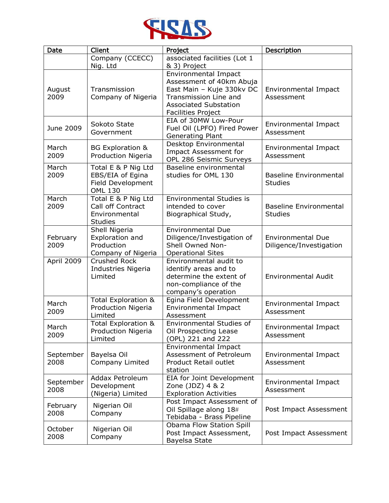

| Date              | Client                                                                         | Project                                                                                                                                                                                    | Description                                         |
|-------------------|--------------------------------------------------------------------------------|--------------------------------------------------------------------------------------------------------------------------------------------------------------------------------------------|-----------------------------------------------------|
|                   | Company (CCECC)                                                                | associated facilities (Lot 1                                                                                                                                                               |                                                     |
| August<br>2009    | Nig. Ltd<br>Transmission<br>Company of Nigeria                                 | & 3) Project<br><b>Environmental Impact</b><br>Assessment of 40km Abuja<br>East Main - Kuje 330kv DC<br>Transmission Line and<br><b>Associated Substation</b><br><b>Facilities Project</b> | Environmental Impact<br>Assessment                  |
| June 2009         | Sokoto State<br>Government                                                     | EIA of 30MW Low-Pour<br>Fuel Oil (LPFO) Fired Power<br>Generating Plant                                                                                                                    | Environmental Impact<br>Assessment                  |
| March<br>2009     | <b>BG Exploration &amp;</b><br>Production Nigeria                              | Desktop Environmental<br>Impact Assessment for<br>OPL 286 Seismic Surveys                                                                                                                  | Environmental Impact<br>Assessment                  |
| March<br>2009     | Total E & P Nig Ltd<br>EBS/EIA of Egina<br>Field Development<br><b>OML 130</b> | Baseline environmental<br>studies for OML 130                                                                                                                                              | <b>Baseline Environmental</b><br><b>Studies</b>     |
| March<br>2009     | Total E & P Nig Ltd<br>Call off Contract<br>Environmental<br><b>Studies</b>    | <b>Environmental Studies is</b><br>intended to cover<br>Biographical Study,                                                                                                                | <b>Baseline Environmental</b><br><b>Studies</b>     |
| February<br>2009  | Shell Nigeria<br>Exploration and<br>Production<br>Company of Nigeria           | <b>Environmental Due</b><br>Diligence/Investigation of<br>Shell Owned Non-<br><b>Operational Sites</b>                                                                                     | <b>Environmental Due</b><br>Diligence/Investigation |
| April 2009        | Crushed Rock<br>Industries Nigeria<br>Limited                                  | Environmental audit to<br>identify areas and to<br>determine the extent of<br>non-compliance of the<br>company's operation                                                                 | <b>Environmental Audit</b>                          |
| March<br>2009     | Total Exploration &<br>Production Nigeria<br>Limited                           | Egina Field Development<br><b>Environmental Impact</b><br>Assessment                                                                                                                       | Environmental Impact<br>Assessment                  |
| March<br>2009     | Total Exploration &<br><b>Production Nigeria</b><br>Limited                    | Environmental Studies of<br>Oil Prospecting Lease<br>(OPL) 221 and 222                                                                                                                     | Environmental Impact<br>Assessment                  |
| September<br>2008 | Bayelsa Oil<br>Company Limited                                                 | <b>Environmental Impact</b><br>Assessment of Petroleum<br>Product Retail outlet<br>station                                                                                                 | Environmental Impact<br>Assessment                  |
| September<br>2008 | Addax Petroleum<br>Development<br>(Nigeria) Limited                            | EIA for Joint Development<br>Zone (JDZ) 4 & 2<br><b>Exploration Activities</b>                                                                                                             | Environmental Impact<br>Assessment                  |
| February<br>2008  | Nigerian Oil<br>Company                                                        | Post Impact Assessment of<br>Oil Spillage along 18#<br>Tebidaba - Brass Pipeline                                                                                                           | Post Impact Assessment                              |
| October<br>2008   | Nigerian Oil<br>Company                                                        | Obama Flow Station Spill<br>Post Impact Assessment,<br>Bayelsa State                                                                                                                       | Post Impact Assessment                              |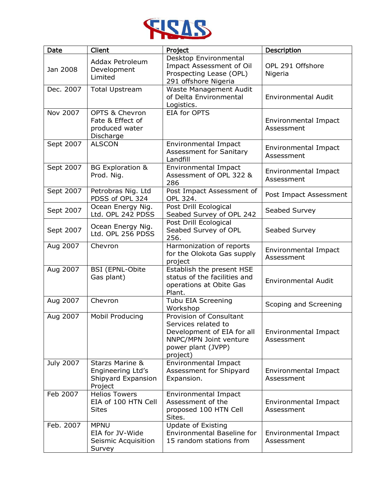

| <b>Date</b> | Client                                                                           | Project                                                                                                                                  | Description                        |
|-------------|----------------------------------------------------------------------------------|------------------------------------------------------------------------------------------------------------------------------------------|------------------------------------|
| Jan 2008    | Addax Petroleum<br>Development<br>Limited                                        | Desktop Environmental<br>Impact Assessment of Oil<br>Prospecting Lease (OPL)<br>291 offshore Nigeria                                     | OPL 291 Offshore<br>Nigeria        |
| Dec. 2007   | <b>Total Upstream</b>                                                            | Waste Management Audit<br>of Delta Environmental<br>Logistics.                                                                           | <b>Environmental Audit</b>         |
| Nov 2007    | <b>OPTS &amp; Chevron</b><br>Fate & Effect of<br>produced water<br>Discharge     | EIA for OPTS                                                                                                                             | Environmental Impact<br>Assessment |
| Sept 2007   | <b>ALSCON</b>                                                                    | Environmental Impact<br><b>Assessment for Sanitary</b><br>Landfill                                                                       | Environmental Impact<br>Assessment |
| Sept 2007   | <b>BG Exploration &amp;</b><br>Prod. Nig.                                        | Environmental Impact<br>Assessment of OPL 322 &<br>286                                                                                   | Environmental Impact<br>Assessment |
| Sept 2007   | Petrobras Nig. Ltd<br>PDSS of OPL 324                                            | Post Impact Assessment of<br>OPL 324.                                                                                                    | Post Impact Assessment             |
| Sept 2007   | Ocean Energy Nig.<br>Ltd. OPL 242 PDSS                                           | Post Drill Ecological<br>Seabed Survey of OPL 242                                                                                        | Seabed Survey                      |
| Sept 2007   | Ocean Energy Nig.<br>Ltd. OPL 256 PDSS                                           | Post Drill Ecological<br>Seabed Survey of OPL<br>256.                                                                                    | Seabed Survey                      |
| Aug 2007    | Chevron                                                                          | Harmonization of reports<br>for the Olokota Gas supply<br>project                                                                        | Environmental Impact<br>Assessment |
| Aug 2007    | <b>BSI (EPNL-Obite</b><br>Gas plant)                                             | Establish the present HSE<br>status of the facilities and<br>operations at Obite Gas<br>Plant.                                           | <b>Environmental Audit</b>         |
| Aug 2007    | Chevron                                                                          | Tubu EIA Screening<br>Workshop                                                                                                           | Scoping and Screening              |
| Aug 2007    | Mobil Producing                                                                  | Provision of Consultant<br>Services related to<br>Development of EIA for all<br>NNPC/MPN Joint venture<br>power plant (JVPP)<br>project) | Environmental Impact<br>Assessment |
| July 2007   | <b>Starzs Marine &amp;</b><br>Engineering Ltd's<br>Shipyard Expansion<br>Project | Environmental Impact<br>Assessment for Shipyard<br>Expansion.                                                                            | Environmental Impact<br>Assessment |
| Feb 2007    | <b>Helios Towers</b><br>EIA of 100 HTN Cell<br><b>Sites</b>                      | Environmental Impact<br>Assessment of the<br>proposed 100 HTN Cell<br>Sites.                                                             | Environmental Impact<br>Assessment |
| Feb. 2007   | <b>MPNU</b><br>EIA for JV-Wide<br>Seismic Acquisition<br>Survey                  | <b>Update of Existing</b><br><b>Environmental Baseline for</b><br>15 random stations from                                                | Environmental Impact<br>Assessment |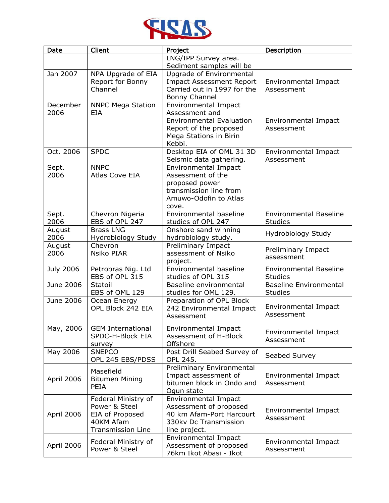

| Date             | Client                                                                                           | Project                                                                                                                                 | Description                                     |
|------------------|--------------------------------------------------------------------------------------------------|-----------------------------------------------------------------------------------------------------------------------------------------|-------------------------------------------------|
|                  |                                                                                                  | LNG/IPP Survey area.                                                                                                                    |                                                 |
|                  |                                                                                                  | Sediment samples will be                                                                                                                |                                                 |
| Jan 2007         | NPA Upgrade of EIA<br>Report for Bonny<br>Channel                                                | Upgrade of Environmental<br><b>Impact Assessment Report</b><br>Carried out in 1997 for the<br>Bonny Channel                             | Environmental Impact<br>Assessment              |
| December<br>2006 | <b>NNPC Mega Station</b><br><b>EIA</b>                                                           | Environmental Impact<br>Assessment and<br><b>Environmental Evaluation</b><br>Report of the proposed<br>Mega Stations in Birin<br>Kebbi. | Environmental Impact<br>Assessment              |
| Oct. 2006        | <b>SPDC</b>                                                                                      | Desktop EIA of OML 31 3D<br>Seismic data gathering.                                                                                     | Environmental Impact<br>Assessment              |
| Sept.<br>2006    | <b>NNPC</b><br>Atlas Cove EIA                                                                    | Environmental Impact<br>Assessment of the<br>proposed power<br>transmission line from<br>Amuwo-Odofin to Atlas<br>cove.                 |                                                 |
| Sept.<br>2006    | Chevron Nigeria<br>EBS of OPL 247                                                                | Environmental baseline<br>studies of OPL 247                                                                                            | <b>Environmental Baseline</b><br><b>Studies</b> |
| August<br>2006   | <b>Brass LNG</b><br>Hydrobiology Study                                                           | Onshore sand winning<br>hydrobiology study.                                                                                             | Hydrobiology Study                              |
| August<br>2006   | Chevron<br><b>Nsiko PIAR</b>                                                                     | Preliminary Impact<br>assessment of Nsiko<br>project.                                                                                   | Preliminary Impact<br>assessment                |
| <b>July 2006</b> | Petrobras Nig. Ltd<br>EBS of OPL 315                                                             | Environmental baseline<br>studies of OPL 315                                                                                            | <b>Environmental Baseline</b><br><b>Studies</b> |
| June 2006        | Statoil<br>EBS of OML 129                                                                        | Baseline environmental<br>studies for OML 129.                                                                                          | <b>Baseline Environmental</b><br><b>Studies</b> |
| June 2006        | Ocean Energy<br>OPL Block 242 EIA                                                                | Preparation of OPL Block<br>242 Environmental Impact<br>Assessment                                                                      | Environmental Impact<br>Assessment              |
| May, 2006        | <b>GEM International</b><br>SPDC-H-Block EIA<br>survey                                           | Environmental Impact<br>Assessment of H-Block<br>Offshore                                                                               | Environmental Impact<br>Assessment              |
| May 2006         | <b>SNEPCO</b><br>OPL 245 EBS/PDSS                                                                | Post Drill Seabed Survey of<br>OPL 245.                                                                                                 | Seabed Survey                                   |
| April 2006       | Masefield<br><b>Bitumen Mining</b><br><b>PEIA</b>                                                | Preliminary Environmental<br>Impact assessment of<br>bitumen block in Ondo and<br>Ogun state                                            | Environmental Impact<br>Assessment              |
| April 2006       | Federal Ministry of<br>Power & Steel<br>EIA of Proposed<br>40KM Afam<br><b>Transmission Line</b> | Environmental Impact<br>Assessment of proposed<br>40 km Afam-Port Harcourt<br>330kv Dc Transmission<br>line project.                    | Environmental Impact<br>Assessment              |
| April 2006       | Federal Ministry of<br>Power & Steel                                                             | Environmental Impact<br>Assessment of proposed<br>76km Ikot Abasi - Ikot                                                                | Environmental Impact<br>Assessment              |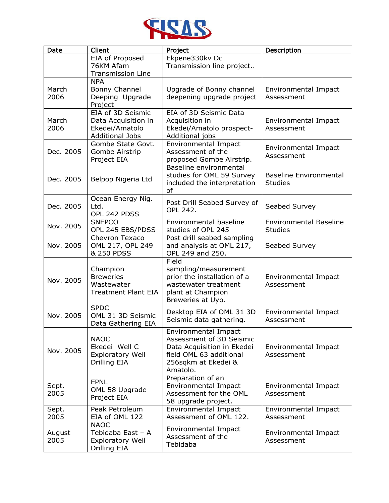

| Date           | Client                                                                               | Project                                                                                                                                      | Description                                     |
|----------------|--------------------------------------------------------------------------------------|----------------------------------------------------------------------------------------------------------------------------------------------|-------------------------------------------------|
|                | EIA of Proposed<br>76KM Afam<br><b>Transmission Line</b>                             | Ekpene330kv Dc<br>Transmission line project                                                                                                  |                                                 |
| March<br>2006  | <b>NPA</b><br>Bonny Channel<br>Deeping Upgrade<br>Project                            | Upgrade of Bonny channel<br>deepening upgrade project                                                                                        | Environmental Impact<br>Assessment              |
| March<br>2006  | EIA of 3D Seismic<br>Data Acquisition in<br>Ekedei/Amatolo<br><b>Additional Jobs</b> | EIA of 3D Seismic Data<br>Acquisition in<br>Ekedei/Amatolo prospect-<br>Additional jobs                                                      | Environmental Impact<br>Assessment              |
| Dec. 2005      | Gombe State Govt.<br>Gombe Airstrip<br>Project EIA                                   | <b>Environmental Impact</b><br>Assessment of the<br>proposed Gombe Airstrip.                                                                 | Environmental Impact<br>Assessment              |
| Dec. 2005      | Belpop Nigeria Ltd                                                                   | Baseline environmental<br>studies for OML 59 Survey<br>included the interpretation<br>of                                                     | <b>Baseline Environmental</b><br><b>Studies</b> |
| Dec. 2005      | Ocean Energy Nig.<br>Ltd.<br>OPL 242 PDSS                                            | Post Drill Seabed Survey of<br><b>OPL 242.</b>                                                                                               | Seabed Survey                                   |
| Nov. 2005      | <b>SNEPCO</b><br>OPL 245 EBS/PDSS                                                    | Environmental baseline<br>studies of OPL 245                                                                                                 | <b>Environmental Baseline</b><br><b>Studies</b> |
| Nov. 2005      | Chevron Texaco<br>OML 217, OPL 249<br>& 250 PDSS                                     | Post drill seabed sampling<br>and analysis at OML 217,<br>OPL 249 and 250.                                                                   | Seabed Survey                                   |
| Nov. 2005      | Champion<br><b>Breweries</b><br>Wastewater<br><b>Treatment Plant EIA</b>             | Field<br>sampling/measurement<br>prior the installation of a<br>wastewater treatment<br>plant at Champion<br>Breweries at Uyo.               | Environmental Impact<br>Assessment              |
| Nov. 2005      | <b>SPDC</b><br>OML 31 3D Seismic<br>Data Gathering EIA                               | Desktop EIA of OML 31 3D<br>Seismic data gathering.                                                                                          | Environmental Impact<br>Assessment              |
| Nov. 2005      | <b>NAOC</b><br>Ekedei Well C<br><b>Exploratory Well</b><br>Drilling EIA              | Environmental Impact<br>Assessment of 3D Seismic<br>Data Acquisition in Ekedei<br>field OML 63 additional<br>256sqkm at Ekedei &<br>Amatolo. | Environmental Impact<br>Assessment              |
| Sept.<br>2005  | <b>EPNL</b><br>OML 58 Upgrade<br>Project EIA                                         | Preparation of an<br><b>Environmental Impact</b><br>Assessment for the OML<br>58 upgrade project.                                            | Environmental Impact<br>Assessment              |
| Sept.<br>2005  | Peak Petroleum<br>EIA of OML 122                                                     | Environmental Impact<br>Assessment of OML 122.                                                                                               | Environmental Impact<br>Assessment              |
| August<br>2005 | <b>NAOC</b><br>Tebidaba East - A<br><b>Exploratory Well</b><br>Drilling EIA          | Environmental Impact<br>Assessment of the<br>Tebidaba                                                                                        | Environmental Impact<br>Assessment              |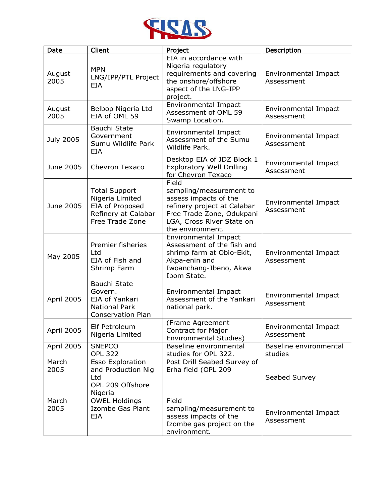

| <b>Date</b>       | Client                                                                                               | Project                                                                                                                                                                | Description                               |
|-------------------|------------------------------------------------------------------------------------------------------|------------------------------------------------------------------------------------------------------------------------------------------------------------------------|-------------------------------------------|
| August<br>2005    | <b>MPN</b><br>LNG/IPP/PTL Project<br>EIA                                                             | EIA in accordance with<br>Nigeria regulatory<br>requirements and covering<br>the onshore/offshore<br>aspect of the LNG-IPP<br>project.                                 | Environmental Impact<br>Assessment        |
| August<br>2005    | Belbop Nigeria Ltd<br>EIA of OML 59                                                                  | <b>Environmental Impact</b><br>Assessment of OML 59<br>Swamp Location.                                                                                                 | Environmental Impact<br>Assessment        |
| <b>July 2005</b>  | Bauchi State<br>Government<br>Sumu Wildlife Park<br>EIA                                              | <b>Environmental Impact</b><br>Assessment of the Sumu<br>Wildlife Park.                                                                                                | Environmental Impact<br>Assessment        |
| June 2005         | Chevron Texaco                                                                                       | Desktop EIA of JDZ Block 1<br><b>Exploratory Well Drilling</b><br>for Chevron Texaco                                                                                   | Environmental Impact<br>Assessment        |
| June 2005         | <b>Total Support</b><br>Nigeria Limited<br>EIA of Proposed<br>Refinery at Calabar<br>Free Trade Zone | Field<br>sampling/measurement to<br>assess impacts of the<br>refinery project at Calabar<br>Free Trade Zone, Odukpani<br>LGA, Cross River State on<br>the environment. | Environmental Impact<br>Assessment        |
| May 2005          | Premier fisheries<br>Ltd<br>EIA of Fish and<br>Shrimp Farm                                           | <b>Environmental Impact</b><br>Assessment of the fish and<br>shrimp farm at Obio-Ekit,<br>Akpa-enin and<br>Iwoanchang-Ibeno, Akwa<br>Ibom State.                       | Environmental Impact<br>Assessment        |
| April 2005        | Bauchi State<br>Govern.<br><b>EIA of Yankari</b><br><b>National Park</b><br><b>Conservation Plan</b> | <b>Environmental Impact</b><br>Assessment of the Yankari<br>national park.                                                                                             | Environmental Impact<br>Assessment        |
| April 2005        | Elf Petroleum<br>Nigeria Limited                                                                     | (Frame Agreement<br><b>Contract for Major</b><br>Environmental Studies)                                                                                                | <b>Environmental Impact</b><br>Assessment |
| <b>April 2005</b> | <b>SNEPCO</b><br><b>OPL 322</b>                                                                      | Baseline environmental<br>studies for OPL 322.                                                                                                                         | Baseline environmental<br>studies         |
| March<br>2005     | <b>Esso Exploration</b><br>and Production Nig<br>Ltd<br>OPL 209 Offshore<br>Nigeria                  | Post Drill Seabed Survey of<br>Erha field (OPL 209                                                                                                                     | Seabed Survey                             |
| March<br>2005     | <b>OWEL Holdings</b><br>Izombe Gas Plant<br><b>EIA</b>                                               | Field<br>sampling/measurement to<br>assess impacts of the<br>Izombe gas project on the<br>environment.                                                                 | Environmental Impact<br>Assessment        |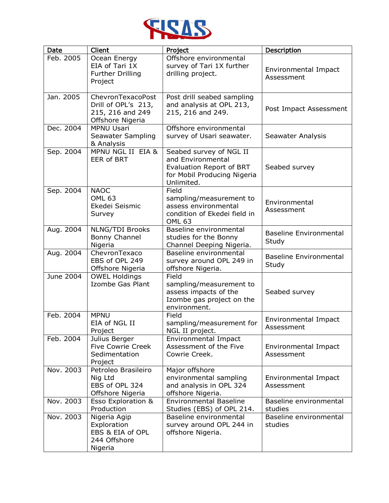

| Date      | Client                                                                           | Project                                                                                                                      | Description                            |
|-----------|----------------------------------------------------------------------------------|------------------------------------------------------------------------------------------------------------------------------|----------------------------------------|
| Feb. 2005 | Ocean Energy<br>EIA of Tari 1X<br><b>Further Drilling</b><br>Project             | Offshore environmental<br>survey of Tari 1X further<br>drilling project.                                                     | Environmental Impact<br>Assessment     |
| Jan. 2005 | ChevronTexacoPost<br>Drill of OPL's 213,<br>215, 216 and 249<br>Offshore Nigeria | Post drill seabed sampling<br>and analysis at OPL 213,<br>215, 216 and 249.                                                  | Post Impact Assessment                 |
| Dec. 2004 | <b>MPNU Usari</b><br>Seawater Sampling<br>& Analysis                             | Offshore environmental<br>survey of Usari seawater.                                                                          | Seawater Analysis                      |
| Sep. 2004 | MPNU NGL II EIA &<br><b>EER of BRT</b>                                           | Seabed survey of NGL II<br>and Environmental<br><b>Evaluation Report of BRT</b><br>for Mobil Producing Nigeria<br>Unlimited. | Seabed survey                          |
| Sep. 2004 | <b>NAOC</b><br>OML <sub>63</sub><br>Ekedei Seismic<br>Survey                     | Field<br>sampling/measurement to<br>assess environmental<br>condition of Ekedei field in<br><b>OML 63</b>                    | Environmental<br>Assessment            |
| Aug. 2004 | <b>NLNG/TDI Brooks</b><br>Bonny Channel<br>Nigeria                               | Baseline environmental<br>studies for the Bonny<br>Channel Deeping Nigeria.                                                  | <b>Baseline Environmental</b><br>Study |
| Aug. 2004 | ChevronTexaco<br>EBS of OPL 249<br>Offshore Nigeria                              | Baseline environmental<br>survey around OPL 249 in<br>offshore Nigeria.                                                      | <b>Baseline Environmental</b><br>Study |
| June 2004 | <b>OWEL Holdings</b><br>Izombe Gas Plant                                         | Field<br>sampling/measurement to<br>assess impacts of the<br>Izombe gas project on the<br>environment.                       | Seabed survey                          |
| Feb. 2004 | <b>MPNU</b><br>EIA of NGL II<br>Project                                          | Field<br>sampling/measurement for<br>NGL II project.                                                                         | Environmental Impact<br>Assessment     |
| Feb. 2004 | Julius Berger<br><b>Five Cowrie Creek</b><br>Sedimentation<br>Project            | Environmental Impact<br>Assessment of the Five<br>Cowrie Creek.                                                              | Environmental Impact<br>Assessment     |
| Nov. 2003 | Petroleo Brasileiro<br>Nig Ltd<br>EBS of OPL 324<br>Offshore Nigeria             | Major offshore<br>environmental sampling<br>and analysis in OPL 324<br>offshore Nigeria.                                     | Environmental Impact<br>Assessment     |
| Nov. 2003 | Esso Exploration &<br>Production                                                 | <b>Environmental Baseline</b><br>Studies (EBS) of OPL 214.                                                                   | Baseline environmental<br>studies      |
| Nov. 2003 | Nigeria Agip<br>Exploration<br>EBS & EIA of OPL<br>244 Offshore<br>Nigeria       | Baseline environmental<br>survey around OPL 244 in<br>offshore Nigeria.                                                      | Baseline environmental<br>studies      |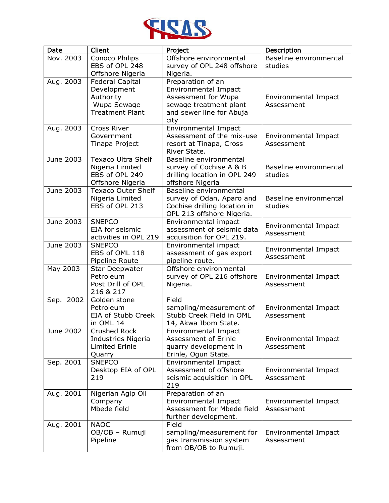

| Date      | Client                          | Project                                          | Description            |
|-----------|---------------------------------|--------------------------------------------------|------------------------|
| Nov. 2003 | Conoco Philips                  | Offshore environmental                           | Baseline environmental |
|           | EBS of OPL 248                  | survey of OPL 248 offshore                       | studies                |
|           | Offshore Nigeria                | Nigeria.                                         |                        |
| Aug. 2003 | <b>Federal Capital</b>          | Preparation of an                                |                        |
|           | Development                     | Environmental Impact                             |                        |
|           | Authority                       | Assessment for Wupa                              | Environmental Impact   |
|           | Wupa Sewage                     | sewage treatment plant                           | Assessment             |
|           | <b>Treatment Plant</b>          | and sewer line for Abuja                         |                        |
| Aug. 2003 | Cross River                     | city<br>Environmental Impact                     |                        |
|           | Government                      | Assessment of the mix-use                        | Environmental Impact   |
|           | Tinapa Project                  | resort at Tinapa, Cross                          | Assessment             |
|           |                                 | River State.                                     |                        |
| June 2003 | <b>Texaco Ultra Shelf</b>       | Baseline environmental                           |                        |
|           | Nigeria Limited                 | survey of Cochise A & B                          | Baseline environmental |
|           | EBS of OPL 249                  | drilling location in OPL 249                     | studies                |
|           | Offshore Nigeria                | offshore Nigeria                                 |                        |
| June 2003 | <b>Texaco Outer Shelf</b>       | Baseline environmental                           |                        |
|           | Nigeria Limited                 | survey of Odan, Aparo and                        | Baseline environmental |
|           | EBS of OPL 213                  | Cochise drilling location in                     | studies                |
|           |                                 | OPL 213 offshore Nigeria.                        |                        |
| June 2003 | <b>SNEPCO</b>                   | Environmental impact                             | Environmental Impact   |
|           | EIA for seismic                 | assessment of seismic data                       | Assessment             |
|           | activities in OPL 219           | acquisition for OPL 219.                         |                        |
| June 2003 | <b>SNEPCO</b><br>EBS of OML 118 | Environmental impact<br>assessment of gas export | Environmental Impact   |
|           | Pipeline Route                  | pipeline route.                                  | Assessment             |
| May 2003  | <b>Star Deepwater</b>           | Offshore environmental                           |                        |
|           | Petroleum                       | survey of OPL 216 offshore                       | Environmental Impact   |
|           | Post Drill of OPL               | Nigeria.                                         | Assessment             |
|           | 216 & 217                       |                                                  |                        |
| Sep. 2002 | Golden stone                    | Field                                            |                        |
|           | Petroleum                       | sampling/measurement of                          | Environmental Impact   |
|           | EIA of Stubb Creek              | Stubb Creek Field in OML                         | Assessment             |
|           | in OML 14                       | 14, Akwa Ibom State.                             |                        |
| June 2002 | Crushed Rock                    | <b>Environmental Impact</b>                      |                        |
|           | Industries Nigeria              | Assessment of Erinle                             | Environmental Impact   |
|           | Limited Erinle                  | quarry development in                            | Assessment             |
| Sep. 2001 | Quarry<br><b>SNEPCO</b>         | Erinle, Ogun State.<br>Environmental Impact      |                        |
|           | Desktop EIA of OPL              | Assessment of offshore                           | Environmental Impact   |
|           | 219                             | seismic acquisition in OPL                       | Assessment             |
|           |                                 | 219                                              |                        |
| Aug. 2001 | Nigerian Agip Oil               | Preparation of an                                |                        |
|           | Company                         | <b>Environmental Impact</b>                      | Environmental Impact   |
|           | Mbede field                     | Assessment for Mbede field                       | Assessment             |
|           |                                 | further development.                             |                        |
| Aug. 2001 | <b>NAOC</b>                     | Field                                            |                        |
|           | OB/OB - Rumuji                  | sampling/measurement for                         | Environmental Impact   |
|           | Pipeline                        | gas transmission system                          | Assessment             |
|           |                                 | from OB/OB to Rumuji.                            |                        |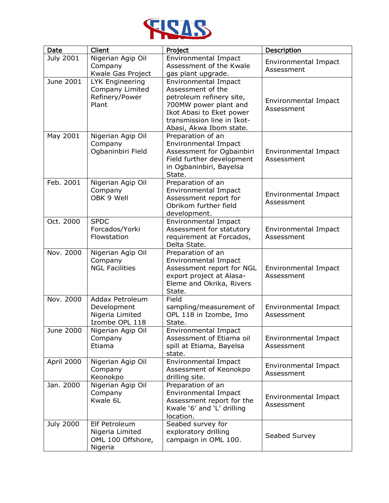

| Date             | Client                                                                     | Project                                                                                                                                                                             | Description                        |
|------------------|----------------------------------------------------------------------------|-------------------------------------------------------------------------------------------------------------------------------------------------------------------------------------|------------------------------------|
| <b>July 2001</b> | Nigerian Agip Oil<br>Company<br>Kwale Gas Project                          | Environmental Impact<br>Assessment of the Kwale<br>gas plant upgrade.                                                                                                               | Environmental Impact<br>Assessment |
| <b>June 2001</b> | LYK Engineering<br>Company Limited<br>Refinery/Power<br>Plant              | Environmental Impact<br>Assessment of the<br>petroleum refinery site,<br>700MW power plant and<br>Ikot Abasi to Eket power<br>transmission line in Ikot-<br>Abasi, Akwa Ibom state. | Environmental Impact<br>Assessment |
| May 2001         | Nigerian Agip Oil<br>Company<br>Ogbaninbiri Field                          | Preparation of an<br>Environmental Impact<br>Assessment for Ogbainbiri<br>Field further development<br>in Ogbaninbiri, Bayelsa<br>State.                                            | Environmental Impact<br>Assessment |
| Feb. 2001        | Nigerian Agip Oil<br>Company<br>OBK 9 Well                                 | Preparation of an<br>Environmental Impact<br>Assessment report for<br>Obrikom further field<br>development.                                                                         | Environmental Impact<br>Assessment |
| Oct. 2000        | <b>SPDC</b><br>Forcados/Yorki<br>Flowstation                               | Environmental Impact<br>Assessment for statutory<br>requirement at Forcados,<br>Delta State.                                                                                        | Environmental Impact<br>Assessment |
| Nov. 2000        | Nigerian Agip Oil<br>Company<br><b>NGL Facilities</b>                      | Preparation of an<br>Environmental Impact<br>Assessment report for NGL<br>export project at Alasa-<br>Eleme and Okrika, Rivers<br>State.                                            | Environmental Impact<br>Assessment |
| Nov. 2000        | <b>Addax Petroleum</b><br>Development<br>Nigeria Limited<br>Izombe OPL 118 | Field<br>sampling/measurement of<br>OPL 118 in Izombe, Imo<br>State.                                                                                                                | Environmental Impact<br>Assessment |
| June 2000        | Nigerian Agip Oil<br>Company<br>Etiama                                     | <b>Environmental Impact</b><br>Assessment of Etiama oil<br>spill at Etiama, Bayelsa<br>state.                                                                                       | Environmental Impact<br>Assessment |
| April 2000       | Nigerian Agip Oil<br>Company<br>Keonokpo                                   | Environmental Impact<br>Assessment of Keonokpo<br>drilling site.                                                                                                                    | Environmental Impact<br>Assessment |
| Jan. 2000        | Nigerian Agip Oil<br>Company<br>Kwale 6L                                   | Preparation of an<br><b>Environmental Impact</b><br>Assessment report for the<br>Kwale '6' and 'L' drilling<br>location.                                                            | Environmental Impact<br>Assessment |
| <b>July 2000</b> | Elf Petroleum<br>Nigeria Limited<br>OML 100 Offshore,<br>Nigeria           | Seabed survey for<br>exploratory drilling<br>campaign in OML 100.                                                                                                                   | Seabed Survey                      |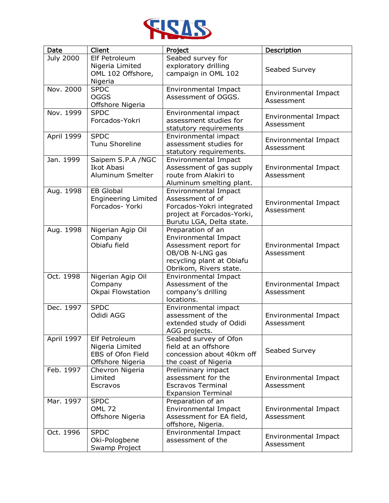

| <b>Date</b>      | Client                                                                    | Project                                                                                                                                             | Description                        |
|------------------|---------------------------------------------------------------------------|-----------------------------------------------------------------------------------------------------------------------------------------------------|------------------------------------|
| <b>July 2000</b> | Elf Petroleum<br>Nigeria Limited<br>OML 102 Offshore,<br>Nigeria          | Seabed survey for<br>exploratory drilling<br>campaign in OML 102                                                                                    | Seabed Survey                      |
| Nov. 2000        | <b>SPDC</b><br><b>OGGS</b><br>Offshore Nigeria                            | Environmental Impact<br>Assessment of OGGS.                                                                                                         | Environmental Impact<br>Assessment |
| Nov. 1999        | <b>SPDC</b><br>Forcados-Yokri                                             | Environmental impact<br>assessment studies for<br>statutory requirements                                                                            | Environmental Impact<br>Assessment |
| April 1999       | <b>SPDC</b><br>Tunu Shoreline                                             | Environmental impact<br>assessment studies for<br>statutory requirements.                                                                           | Environmental Impact<br>Assessment |
| Jan. 1999        | Saipem S.P.A /NGC<br>Ikot Abasi<br>Aluminum Smelter                       | Environmental Impact<br>Assessment of gas supply<br>route from Alakiri to<br>Aluminum smelting plant.                                               | Environmental Impact<br>Assessment |
| Aug. 1998        | <b>EB Global</b><br><b>Engineering Limited</b><br>Forcados- Yorki         | <b>Environmental Impact</b><br>Assessment of of<br>Forcados-Yokri integrated<br>project at Forcados-Yorki,<br>Burutu LGA, Delta state.              | Environmental Impact<br>Assessment |
| Aug. 1998        | Nigerian Agip Oil<br>Company<br>Obiafu field                              | Preparation of an<br><b>Environmental Impact</b><br>Assessment report for<br>OB/OB N-LNG gas<br>recycling plant at Obiafu<br>Obrikom, Rivers state. | Environmental Impact<br>Assessment |
| Oct. 1998        | Nigerian Agip Oil<br>Company<br>Okpai Flowstation                         | Environmental Impact<br>Assessment of the<br>company's drilling<br>locations.                                                                       | Environmental Impact<br>Assessment |
| Dec. 1997        | <b>SPDC</b><br>Odidi AGG                                                  | Environmental impact<br>assessment of the<br>extended study of Odidi<br>AGG projects.                                                               | Environmental Impact<br>Assessment |
| April 1997       | Elf Petroleum<br>Nigeria Limited<br>EBS of Ofon Field<br>Offshore Nigeria | Seabed survey of Ofon<br>field at an offshore<br>concession about 40km off<br>the coast of Nigeria                                                  | Seabed Survey                      |
| Feb. 1997        | Chevron Nigeria<br>Limited<br>Escravos                                    | Preliminary impact<br>assessment for the<br><b>Escravos Terminal</b><br><b>Expansion Terminal</b>                                                   | Environmental Impact<br>Assessment |
| Mar. 1997        | <b>SPDC</b><br><b>OML 72</b><br>Offshore Nigeria                          | Preparation of an<br>Environmental Impact<br>Assessment for EA field,<br>offshore, Nigeria.                                                         | Environmental Impact<br>Assessment |
| Oct. 1996        | <b>SPDC</b><br>Oki-Pologbene<br>Swamp Project                             | Environmental Impact<br>assessment of the                                                                                                           | Environmental Impact<br>Assessment |